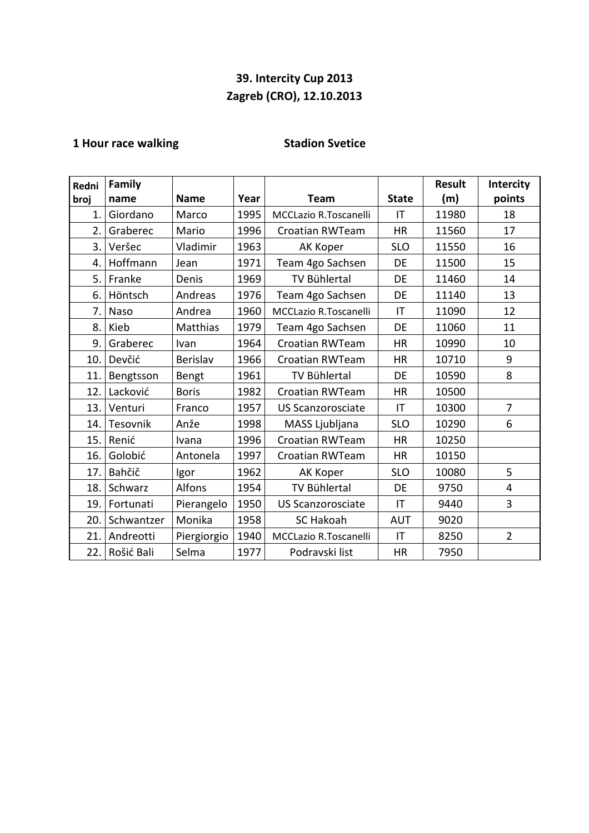## **39. Intercity Cup 2013 Zagreb (CRO), 12.10.2013**

## **1 Hour race walking Stadion Svetice**

| Redni          | Family     |              |      |                              |            | <b>Result</b> | Intercity      |
|----------------|------------|--------------|------|------------------------------|------------|---------------|----------------|
| broj           | name       | <b>Name</b>  | Year | <b>State</b><br>Team         |            | (m)           | points         |
| $\mathbf{1}$ . | Giordano   | Marco        | 1995 | <b>MCCLazio R.Toscanelli</b> | IT         | 11980         | 18             |
| 2.             | Graberec   | Mario        | 1996 | <b>Croatian RWTeam</b>       | <b>HR</b>  | 11560         | 17             |
| 3.             | Veršec     | Vladimir     | 1963 | AK Koper                     | <b>SLO</b> | 11550         | 16             |
| 4.             | Hoffmann   | Jean         | 1971 | Team 4go Sachsen             | DE         | 11500         | 15             |
| 5.             | Franke     | Denis        | 1969 | TV Bühlertal                 | DE         | 11460         | 14             |
| 6.             | Höntsch    | Andreas      | 1976 | Team 4go Sachsen             | DE         | 11140         | 13             |
| 7.             | Naso       | Andrea       | 1960 | <b>MCCLazio R.Toscanelli</b> | IT         | 11090         | 12             |
| 8.             | Kieb       | Matthias     | 1979 | Team 4go Sachsen             | DE         | 11060         | 11             |
| 9.             | Graberec   | Ivan         | 1964 | <b>Croatian RWTeam</b>       | <b>HR</b>  | 10990         | 10             |
| 10.            | Devčić     | Berislav     | 1966 | <b>Croatian RWTeam</b>       | <b>HR</b>  | 10710         | 9              |
| 11.            | Bengtsson  | Bengt        | 1961 | <b>TV Bühlertal</b>          | <b>DE</b>  | 10590         | 8              |
| 12.            | Lacković   | <b>Boris</b> | 1982 | <b>Croatian RWTeam</b>       | <b>HR</b>  | 10500         |                |
| 13.            | Venturi    | Franco       | 1957 | <b>US Scanzorosciate</b>     | IT         | 10300         | 7              |
| 14.            | Tesovnik   | Anže         | 1998 | MASS Ljubljana               | <b>SLO</b> | 10290         | 6              |
| 15.            | Renić      | Ivana        | 1996 | <b>Croatian RWTeam</b>       | <b>HR</b>  | 10250         |                |
| 16.            | Golobić    | Antonela     | 1997 | <b>Croatian RWTeam</b>       | <b>HR</b>  | 10150         |                |
| 17.            | Bahčič     | Igor         | 1962 | AK Koper                     | <b>SLO</b> | 10080         | 5              |
| 18.            | Schwarz    | Alfons       | 1954 | <b>TV Bühlertal</b>          | DE         | 9750          | 4              |
| 19.            | Fortunati  | Pierangelo   | 1950 | <b>US Scanzorosciate</b>     | IT         | 9440          | 3              |
| 20.            | Schwantzer | Monika       | 1958 | <b>SC Hakoah</b>             | <b>AUT</b> | 9020          |                |
| 21.            | Andreotti  | Piergiorgio  | 1940 | <b>MCCLazio R.Toscanelli</b> | IT         | 8250          | $\overline{2}$ |
| 22.            | Rošić Bali | Selma        | 1977 | Podravski list               | <b>HR</b>  | 7950          |                |